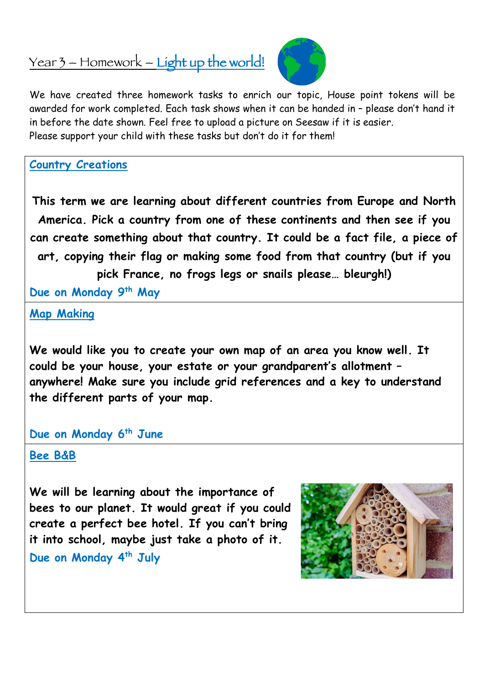## Year 3 – Homework – Light up the world!



We have created three homework tasks to enrich our topic, House point tokens will be awarded for work completed. Each task shows when it can be handed in – please don't hand it in before the date shown. Feel free to upload a picture on Seesaw if it is easier. Please support your child with these tasks but don't do it for them!

**Country Creations**

**This term we are learning about different countries from Europe and North America. Pick a country from one of these continents and then see if you can create something about that country. It could be a fact file, a piece of art, copying their flag or making some food from that country (but if you pick France, no frogs legs or snails please… bleurgh!)** 

**Due on Monday 9th May**

**Map Making**

**We would like you to create your own map of an area you know well. It could be your house, your estate or your grandparent's allotment – anywhere! Make sure you include grid references and a key to understand the different parts of your map.**

## **Due on Monday 6th June**

## **Bee B&B**

**We will be learning about the importance of bees to our planet. It would great if you could create a perfect bee hotel. If you can't bring it into school, maybe just take a photo of it. Due on Monday 4th July**